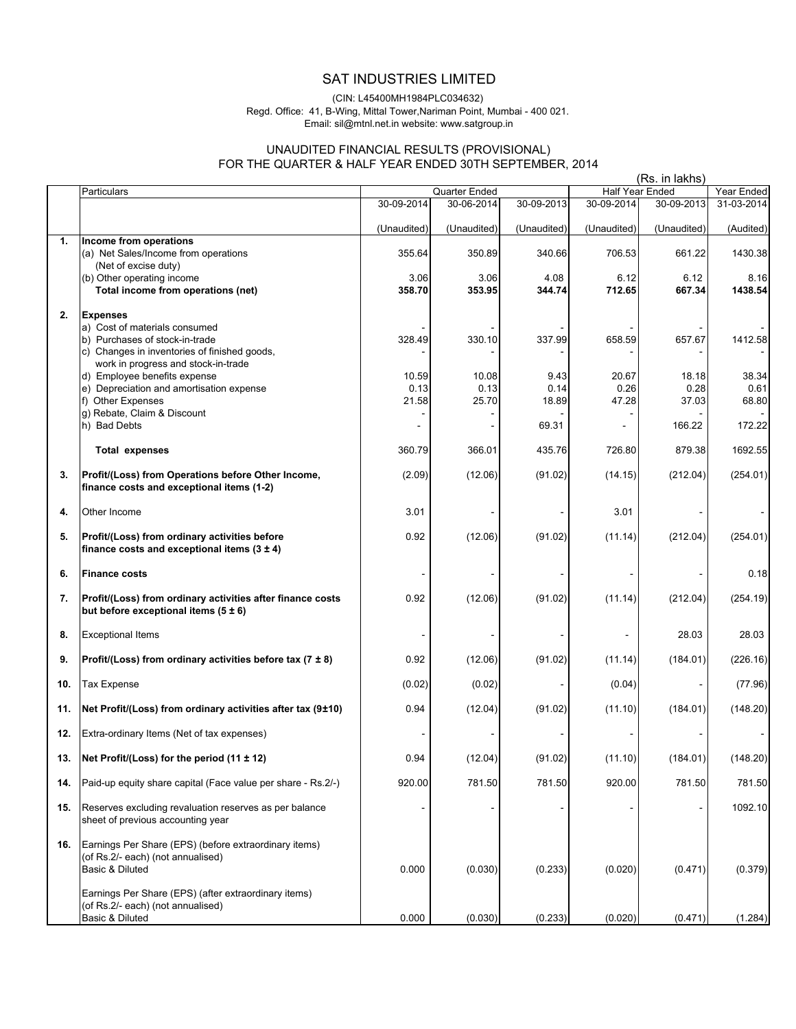# SAT INDUSTRIES LIMITED

#### (CIN: L45400MH1984PLC034632) Regd. Office: 41, B-Wing, Mittal Tower,Nariman Point, Mumbai - 400 021. Email: sil@mtnl.net.in website: www.satgroup.in

## UNAUDITED FINANCIAL RESULTS (PROVISIONAL) FOR THE QUARTER & HALF YEAR ENDED 30TH SEPTEMBER, 2014

|     | (Rs. in lakhs)                                                                                                |             |               |             |             |                  |            |
|-----|---------------------------------------------------------------------------------------------------------------|-------------|---------------|-------------|-------------|------------------|------------|
|     | Particulars                                                                                                   |             | Quarter Ended |             |             | Half Year Ended  | Year Ended |
|     |                                                                                                               | 30-09-2014  | 30-06-2014    | 30-09-2013  | 30-09-2014  | $30 - 09 - 2013$ | 31-03-2014 |
|     |                                                                                                               | (Unaudited) | (Unaudited)   | (Unaudited) | (Unaudited) | (Unaudited)      | (Audited)  |
| 1.  | Income from operations                                                                                        |             |               |             |             |                  |            |
|     | (a) Net Sales/Income from operations<br>(Net of excise duty)                                                  | 355.64      | 350.89        | 340.66      | 706.53      | 661.22           | 1430.38    |
|     | (b) Other operating income                                                                                    | 3.06        | 3.06          | 4.08        | 6.12        | 6.12             | 8.16       |
|     | Total income from operations (net)                                                                            | 358.70      | 353.95        | 344.74      | 712.65      | 667.34           | 1438.54    |
| 2.  | <b>Expenses</b>                                                                                               |             |               |             |             |                  |            |
|     | a) Cost of materials consumed                                                                                 |             |               |             |             |                  |            |
|     | b) Purchases of stock-in-trade                                                                                | 328.49      | 330.10        | 337.99      | 658.59      | 657.67           | 1412.58    |
|     | c) Changes in inventories of finished goods,                                                                  |             |               |             |             |                  |            |
|     | work in progress and stock-in-trade                                                                           |             |               |             |             |                  |            |
|     | d) Employee benefits expense                                                                                  | 10.59       | 10.08         | 9.43        | 20.67       | 18.18            | 38.34      |
|     | e) Depreciation and amortisation expense                                                                      | 0.13        | 0.13          | 0.14        | 0.26        | 0.28             | 0.61       |
|     | f) Other Expenses<br>g) Rebate, Claim & Discount                                                              | 21.58       | 25.70         | 18.89       | 47.28       | 37.03            | 68.80      |
|     | h) Bad Debts                                                                                                  |             |               | 69.31       |             | 166.22           | 172.22     |
|     |                                                                                                               |             |               |             |             |                  |            |
|     | <b>Total expenses</b>                                                                                         | 360.79      | 366.01        | 435.76      | 726.80      | 879.38           | 1692.55    |
| 3.  | Profit/(Loss) from Operations before Other Income,<br>finance costs and exceptional items (1-2)               | (2.09)      | (12.06)       | (91.02)     | (14.15)     | (212.04)         | (254.01)   |
|     |                                                                                                               |             |               |             |             |                  |            |
| 4.  | Other Income                                                                                                  | 3.01        |               |             | 3.01        |                  |            |
| 5.  | Profit/(Loss) from ordinary activities before<br>finance costs and exceptional items $(3 \pm 4)$              | 0.92        | (12.06)       | (91.02)     | (11.14)     | (212.04)         | (254.01)   |
| 6.  | <b>Finance costs</b>                                                                                          |             |               |             |             |                  | 0.18       |
|     |                                                                                                               |             |               |             |             |                  |            |
| 7.  | Profit/(Loss) from ordinary activities after finance costs<br>but before exceptional items $(5 \pm 6)$        | 0.92        | (12.06)       | (91.02)     | (11.14)     | (212.04)         | (254.19)   |
| 8.  | <b>Exceptional Items</b>                                                                                      |             |               |             |             | 28.03            | 28.03      |
| 9.  | Profit/(Loss) from ordinary activities before tax (7 $\pm$ 8)                                                 | 0.92        | (12.06)       | (91.02)     | (11.14)     | (184.01)         | (226.16)   |
| 10. | <b>Tax Expense</b>                                                                                            | (0.02)      | (0.02)        |             | (0.04)      |                  | (77.96)    |
| 11. | Net Profit/(Loss) from ordinary activities after tax (9±10)                                                   | 0.94        | (12.04)       | (91.02)     | (11.10)     | (184.01)         | (148.20)   |
| 12. | Extra-ordinary Items (Net of tax expenses)                                                                    |             |               |             |             |                  |            |
| 13. | Net Profit/(Loss) for the period (11 ± 12)                                                                    | 0.94        | (12.04)       | (91.02)     | (11.10)     | (184.01)         | (148.20)   |
| 14. | Paid-up equity share capital (Face value per share - Rs.2/-)                                                  | 920.00      | 781.50        | 781.50      | 920.00      | 781.50           | 781.50     |
| 15. | Reserves excluding revaluation reserves as per balance<br>sheet of previous accounting year                   |             |               |             |             |                  | 1092.10    |
| 16. | Earnings Per Share (EPS) (before extraordinary items)<br>(of Rs.2/- each) (not annualised)<br>Basic & Diluted | 0.000       | (0.030)       | (0.233)     | (0.020)     | (0.471)          | (0.379)    |
|     | Earnings Per Share (EPS) (after extraordinary items)<br>(of Rs.2/- each) (not annualised)<br>Basic & Diluted  | 0.000       | (0.030)       | (0.233)     | (0.020)     | (0.471)          | (1.284)    |
|     |                                                                                                               |             |               |             |             |                  |            |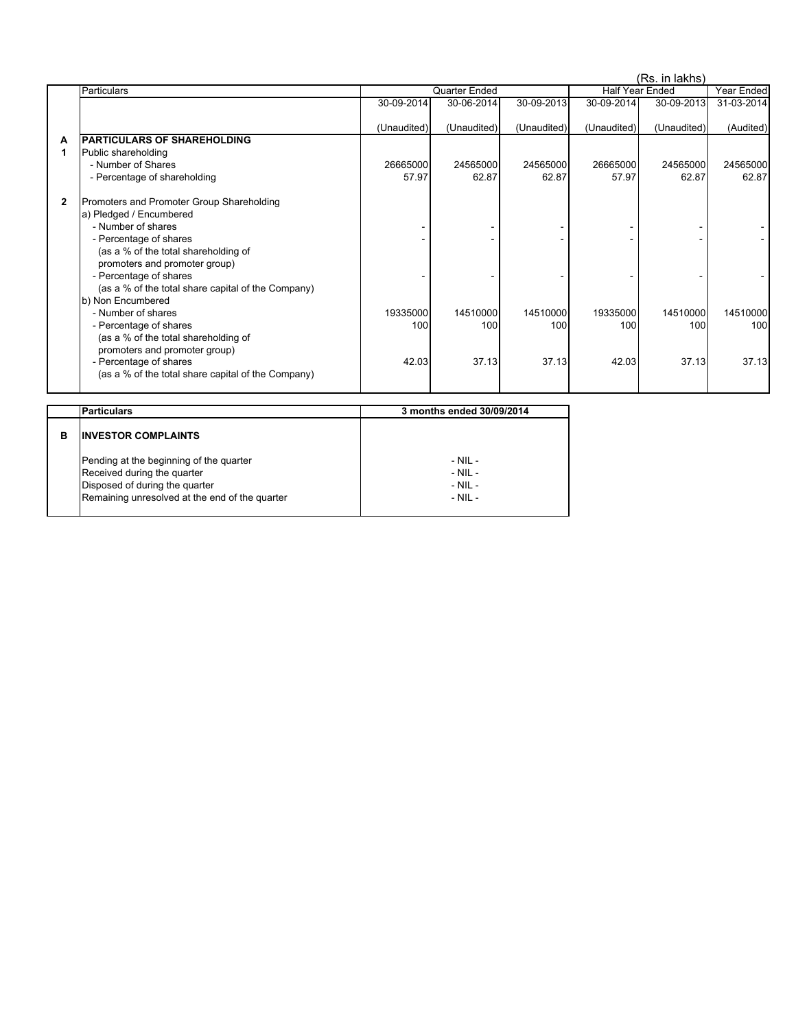|              |                                                    | (Rs. in lakhs)                          |             |             |             |             |            |
|--------------|----------------------------------------------------|-----------------------------------------|-------------|-------------|-------------|-------------|------------|
|              | Particulars                                        | Quarter Ended<br><b>Half Year Ended</b> |             |             | Year Ended  |             |            |
|              |                                                    | 30-09-2014                              | 30-06-2014  | 30-09-2013  | 30-09-2014  | 30-09-2013  | 31-03-2014 |
|              |                                                    | (Unaudited)                             | (Unaudited) | (Unaudited) | (Unaudited) | (Unaudited) | (Audited)  |
| A            | <b>PARTICULARS OF SHAREHOLDING</b>                 |                                         |             |             |             |             |            |
| 1            | Public shareholding                                |                                         |             |             |             |             |            |
|              | - Number of Shares                                 | 26665000                                | 24565000    | 24565000    | 26665000    | 24565000    | 24565000   |
|              | - Percentage of shareholding                       | 57.97                                   | 62.87       | 62.87       | 57.97       | 62.87       | 62.87      |
| $\mathbf{2}$ | Promoters and Promoter Group Shareholding          |                                         |             |             |             |             |            |
|              | a) Pledged / Encumbered                            |                                         |             |             |             |             |            |
|              | - Number of shares                                 |                                         |             |             |             |             |            |
|              | - Percentage of shares                             |                                         |             |             |             |             |            |
|              | (as a % of the total shareholding of               |                                         |             |             |             |             |            |
|              | promoters and promoter group)                      |                                         |             |             |             |             |            |
|              | - Percentage of shares                             |                                         |             |             |             |             |            |
|              | (as a % of the total share capital of the Company) |                                         |             |             |             |             |            |
|              | b) Non Encumbered                                  |                                         |             |             |             |             |            |
|              | - Number of shares                                 | 19335000                                | 14510000    | 14510000    | 19335000    | 14510000    | 14510000   |
|              | - Percentage of shares                             | 100                                     | 100         | 100         | 100         | 100         | 100        |
|              | (as a % of the total shareholding of               |                                         |             |             |             |             |            |
|              | promoters and promoter group)                      |                                         |             |             |             |             |            |
|              | - Percentage of shares                             | 42.03                                   | 37.13       | 37.13       | 42.03       | 37.13       | 37.13      |
|              | (as a % of the total share capital of the Company) |                                         |             |             |             |             |            |
|              |                                                    |                                         |             |             |             |             |            |

| Particulars                     |                                                                                                                             | 3 months ended 30/09/2014                                |  |  |  |
|---------------------------------|-----------------------------------------------------------------------------------------------------------------------------|----------------------------------------------------------|--|--|--|
| <b>INVESTOR COMPLAINTS</b><br>в |                                                                                                                             |                                                          |  |  |  |
| Received during the quarter     | Pending at the beginning of the quarter<br>Disposed of during the quarter<br>Remaining unresolved at the end of the quarter | $-$ NII $-$<br>$-$ NII $-$<br>$-$ NII $-$<br>$-$ NII $-$ |  |  |  |